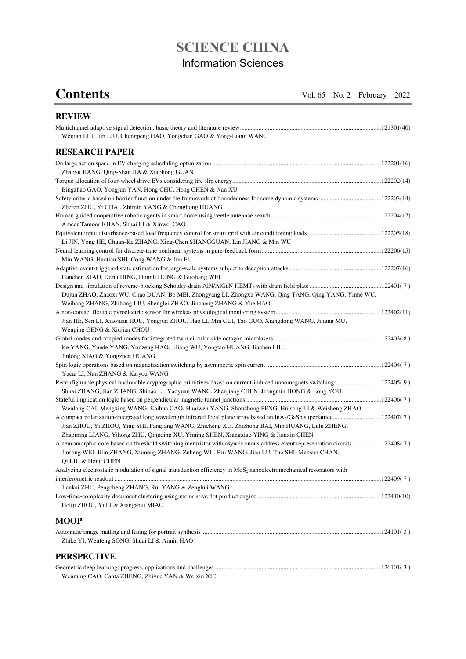## **SCIENCE CHINA**  Information Sciences

**Contents** Vol. 65 No. 2 February 2022

| <b>REVIEW</b>                                                                                                                  |  |
|--------------------------------------------------------------------------------------------------------------------------------|--|
|                                                                                                                                |  |
| Weijian LIU, Jun LIU, Chengpeng HAO, Yongchan GAO & Yong-Liang WANG                                                            |  |
| <b>RESEARCH PAPER</b>                                                                                                          |  |
|                                                                                                                                |  |
| Zhaoyu JIANG, Qing-Shan JIA & Xiaohong GUAN                                                                                    |  |
|                                                                                                                                |  |
| Bingzhao GAO, Yongjun YAN, Hong CHU, Hong CHEN & Nan XU                                                                        |  |
|                                                                                                                                |  |
| Zheren ZHU, Yi CHAI, Zhimin YANG & Chenghong HUANG                                                                             |  |
|                                                                                                                                |  |
| Ameer Tamoor KHAN, Shuai LI & Xinwei CAO                                                                                       |  |
|                                                                                                                                |  |
| Li JIN, Yong HE, Chuan-Ke ZHANG, Xing-Chen SHANGGUAN, Lin JIANG & Min WU                                                       |  |
|                                                                                                                                |  |
| Min WANG, Haotian SHI, Cong WANG & Jun FU                                                                                      |  |
|                                                                                                                                |  |
| Hanchen XIAO, Derui DING, Hongli DONG & Guoliang WEI                                                                           |  |
|                                                                                                                                |  |
| Dujun ZHAO, Zhaoxi WU, Chao DUAN, Bo MEI, Zhongyang LI, Zhongxu WANG, Qing TANG, Qing YANG, Yinhe WU,                          |  |
| Weihang ZHANG, Zhihong LIU, Shenglei ZHAO, Jincheng ZHANG & Yue HAO                                                            |  |
|                                                                                                                                |  |
| Jian HE, Sen LI, Xiaojuan HOU, Yongjun ZHOU, Hao LI, Min CUI, Tao GUO, Xiangdong WANG, Jiliang MU,                             |  |
| Wenping GENG & Xiujian CHOU                                                                                                    |  |
|                                                                                                                                |  |
| Ke YANG, Yuede YANG, Youzeng HAO, Jiliang WU, Yongtao HUANG, Jiachen LIU,                                                      |  |
| Jinlong XIAO & Yongzhen HUANG                                                                                                  |  |
| Yucai LI, Nan ZHANG & Kaiyou WANG                                                                                              |  |
|                                                                                                                                |  |
| Shuai ZHANG, Jian ZHANG, Shihao LI, Yaoyuan WANG, Zhenjiang CHEN, Jeongmin HONG & Long YOU                                     |  |
|                                                                                                                                |  |
| Wenlong CAI, Mengxing WANG, Kaihua CAO, Huaiwen YANG, Shouzhong PENG, Huisong LI & Weisheng ZHAO                               |  |
|                                                                                                                                |  |
| Jian ZHOU, Yi ZHOU, Ying SHI, Fangfang WANG, Zhicheng XU, Zhizhong BAI, Min HUANG, Lulu ZHENG,                                 |  |
| Zhaoming LIANG, Yihong ZHU, Qingqing XU, Yiming SHEN, Xiangxiao YING & Jianxin CHEN                                            |  |
| A neuromorphic core based on threshold switching memristor with asynchronous address event representation circuits 122408(7)   |  |
| Jinsong WEI, Jilin ZHANG, Xumeng ZHANG, Zuheng WU, Rui WANG, Jian LU, Tuo SHI, Mansun CHAN,<br>Qi LIU & Hong CHEN              |  |
| Analyzing electrostatic modulation of signal transduction efficiency in MoS <sub>2</sub> nanoelectromechanical resonators with |  |
|                                                                                                                                |  |
| Jiankai ZHU, Pengcheng ZHANG, Rui YANG & Zenghui WANG                                                                          |  |
|                                                                                                                                |  |
| Houji ZHOU, Yi LI & Xiangshui MIAO                                                                                             |  |
| <b>MOOP</b>                                                                                                                    |  |
|                                                                                                                                |  |
| Zhike YI, Wenfeng SONG, Shuai LI & Aimin HAO                                                                                   |  |
| <b>PERSPECTIVE</b>                                                                                                             |  |
|                                                                                                                                |  |

Wenming CAO, Canta ZHENG, Zhiyue YAN & Weixin XIE